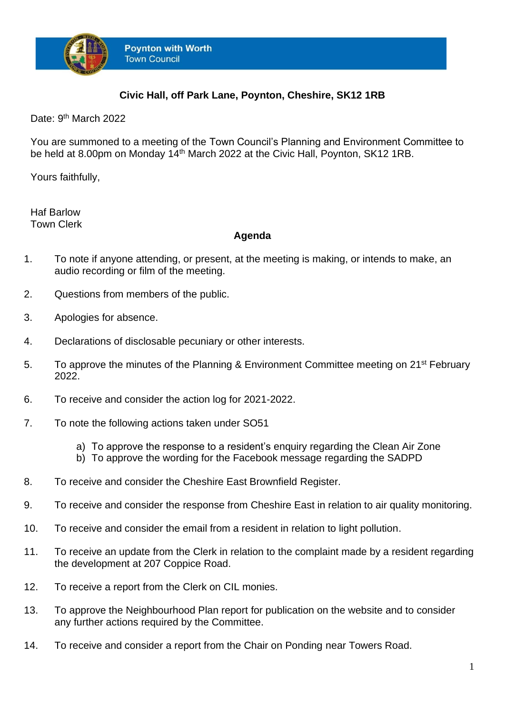

## **Civic Hall, off Park Lane, Poynton, Cheshire, SK12 1RB**

Date: 9<sup>th</sup> March 2022

You are summoned to a meeting of the Town Council's Planning and Environment Committee to be held at 8.00pm on Monday 14<sup>th</sup> March 2022 at the Civic Hall, Poynton, SK12 1RB.

Yours faithfully,

Haf Barlow Town Clerk

## **Agenda**

- 1. To note if anyone attending, or present, at the meeting is making, or intends to make, an audio recording or film of the meeting.
- 2. Questions from members of the public.
- 3. Apologies for absence.
- 4. Declarations of disclosable pecuniary or other interests.
- 5. To approve the minutes of the Planning & Environment Committee meeting on 21<sup>st</sup> February 2022.
- 6. To receive and consider the action log for 2021-2022.
- 7. To note the following actions taken under SO51
	- a) To approve the response to a resident's enquiry regarding the Clean Air Zone
	- b) To approve the wording for the Facebook message regarding the SADPD
- 8. To receive and consider the Cheshire East Brownfield Register.
- 9. To receive and consider the response from Cheshire East in relation to air quality monitoring.
- 10. To receive and consider the email from a resident in relation to light pollution.
- 11. To receive an update from the Clerk in relation to the complaint made by a resident regarding the development at 207 Coppice Road.
- 12. To receive a report from the Clerk on CIL monies.
- 13. To approve the Neighbourhood Plan report for publication on the website and to consider any further actions required by the Committee.
- 14. To receive and consider a report from the Chair on Ponding near Towers Road.